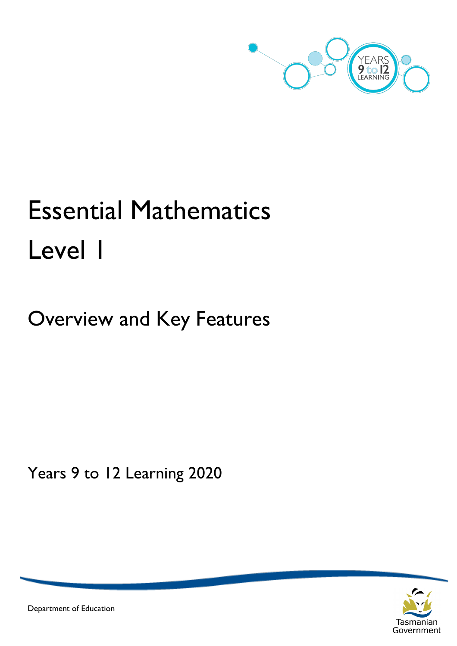

# Essential Mathematics Level 1

Overview and Key Features

Years 9 to 12 Learning 2020



Department of Education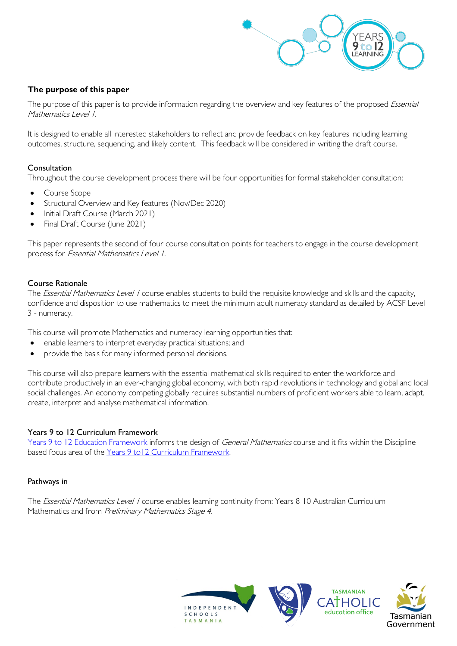

# **The purpose of this paper**

The purpose of this paper is to provide information regarding the overview and key features of the proposed Essential Mathematics Level 1.

It is designed to enable all interested stakeholders to reflect and provide feedback on key features including learning outcomes, structure, sequencing, and likely content. This feedback will be considered in writing the draft course.

### Consultation

Throughout the course development process there will be four opportunities for formal stakeholder consultation:

- Course Scope
- Structural Overview and Key features (Nov/Dec 2020)
- Initial Draft Course (March 2021)
- Final Draft Course (June 2021)

This paper represents the second of four course consultation points for teachers to engage in the course development process for Essential Mathematics Level 1.

#### Course Rationale

The *Essential Mathematics Level 1* course enables students to build the requisite knowledge and skills and the capacity, confidence and disposition to use mathematics to meet the minimum adult numeracy standard as detailed by ACSF Level 3 - numeracy.

This course will promote Mathematics and numeracy learning opportunities that:

- enable learners to interpret everyday practical situations; and
- provide the basis for many informed personal decisions.

This course will also prepare learners with the essential mathematical skills required to enter the workforce and contribute productively in an ever-changing global economy, with both rapid revolutions in technology and global and local social challenges. An economy competing globally requires substantial numbers of proficient workers able to learn, adapt, create, interpret and analyse mathematical information.

#### Years 9 to 12 Curriculum Framework

[Years 9 to 12 Education Framework](https://publicdocumentcentre.education.tas.gov.au/library/Shared%20Documents/Years-9-to-12-Education-Framework.pdf) informs the design of *General Mathematics* course and it fits within the Disciplinebased focus area of the [Years 9 to12 Curriculum Framework.](https://publicdocumentcentre.education.tas.gov.au/library/Shared%20Documents/Education%209-12%20Frameworks%20A3%20WEB%20POSTER.pdf) 

#### Pathways in

The *Essential Mathematics Level 1* course enables learning continuity from: Years 8-10 Australian Curriculum Mathematics and from Preliminary Mathematics Stage 4.

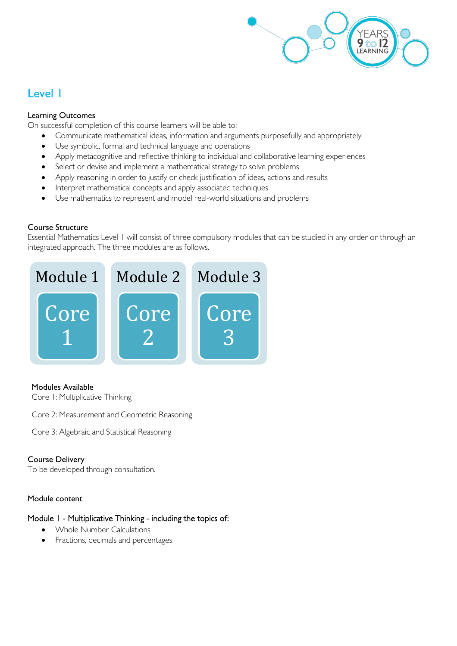

# Level 1

# Learning Outcomes

On successful completion of this course learners will be able to:

- Communicate mathematical ideas, information and arguments purposefully and appropriately
- Use symbolic, formal and technical language and operations
- Apply metacognitive and reflective thinking to individual and collaborative learning experiences
- Select or devise and implement a mathematical strategy to solve problems
- Apply reasoning in order to justify or check justification of ideas, actions and results
- Interpret mathematical concepts and apply associated techniques
- Use mathematics to represent and model real-world situations and problems

# Course Structure

Essential Mathematics Level 1 will consist of three compulsory modules that can be studied in any order or through an integrated approach. The three modules are as follows.



# Modules Available

Core 1: Multiplicative Thinking

Core 2: Measurement and Geometric Reasoning

Core 3: Algebraic and Statistical Reasoning

# Course Delivery

To be developed through consultation.

# Module content

# Module 1 - Multiplicative Thinking - including the topics of:

- Whole Number Calculations
- Fractions, decimals and percentages